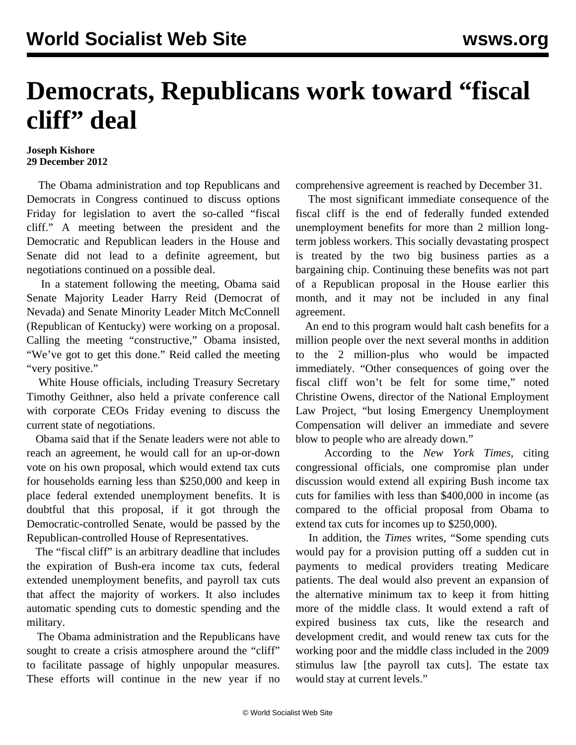## **Democrats, Republicans work toward "fiscal cliff" deal**

## **Joseph Kishore 29 December 2012**

 The Obama administration and top Republicans and Democrats in Congress continued to discuss options Friday for legislation to avert the so-called "fiscal cliff." A meeting between the president and the Democratic and Republican leaders in the House and Senate did not lead to a definite agreement, but negotiations continued on a possible deal.

 In a statement following the meeting, Obama said Senate Majority Leader Harry Reid (Democrat of Nevada) and Senate Minority Leader Mitch McConnell (Republican of Kentucky) were working on a proposal. Calling the meeting "constructive," Obama insisted, "We've got to get this done." Reid called the meeting "very positive."

 White House officials, including Treasury Secretary Timothy Geithner, also held a private conference call with corporate CEOs Friday evening to discuss the current state of negotiations.

 Obama said that if the Senate leaders were not able to reach an agreement, he would call for an up-or-down vote on his own proposal, which would extend tax cuts for households earning less than \$250,000 and keep in place federal extended unemployment benefits. It is doubtful that this proposal, if it got through the Democratic-controlled Senate, would be passed by the Republican-controlled House of Representatives.

 The "fiscal cliff" is an arbitrary deadline that includes the expiration of Bush-era income tax cuts, federal extended unemployment benefits, and payroll tax cuts that affect the majority of workers. It also includes automatic spending cuts to domestic spending and the military.

 The Obama administration and the Republicans have sought to create a crisis atmosphere around the "cliff" to facilitate passage of highly unpopular measures. These efforts will continue in the new year if no comprehensive agreement is reached by December 31.

 The most significant immediate consequence of the fiscal cliff is the end of federally funded extended unemployment benefits for more than 2 million longterm jobless workers. This socially devastating prospect is treated by the two big business parties as a bargaining chip. Continuing these benefits was not part of a Republican proposal in the House earlier this month, and it may not be included in any final agreement.

 An end to this program would halt cash benefits for a million people over the next several months in addition to the 2 million-plus who would be impacted immediately. "Other consequences of going over the fiscal cliff won't be felt for some time," noted Christine Owens, director of the National Employment Law Project, "but losing Emergency Unemployment Compensation will deliver an immediate and severe blow to people who are already down."

 According to the *New York Times,* citing congressional officials, one compromise plan under discussion would extend all expiring Bush income tax cuts for families with less than \$400,000 in income (as compared to the official proposal from Obama to extend tax cuts for incomes up to \$250,000).

 In addition, the *Times* writes, "Some spending cuts would pay for a provision putting off a sudden cut in payments to medical providers treating Medicare patients. The deal would also prevent an expansion of the alternative minimum tax to keep it from hitting more of the middle class. It would extend a raft of expired business tax cuts, like the research and development credit, and would renew tax cuts for the working poor and the middle class included in the 2009 stimulus law [the payroll tax cuts]. The estate tax would stay at current levels."